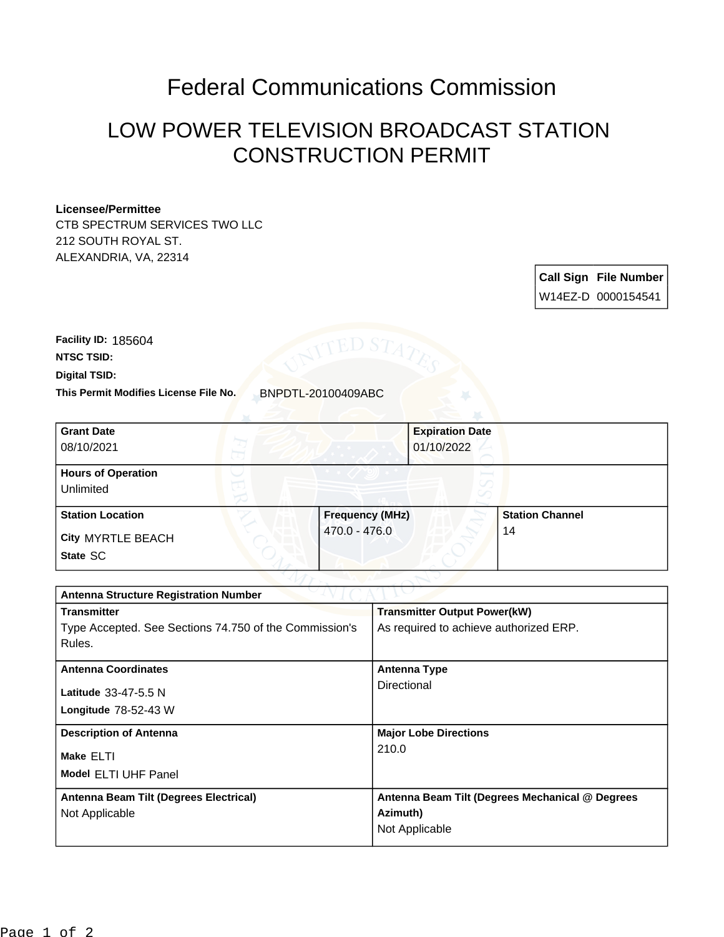## Federal Communications Commission

## LOW POWER TELEVISION BROADCAST STATION CONSTRUCTION PERMIT

## **Licensee/Permittee**

CTB SPECTRUM SERVICES TWO LLC 212 SOUTH ROYAL ST. ALEXANDRIA, VA, 22314

> **Call Sign File Number** W14EZ-D 0000154541

**Digital TSID: NTSC TSID: Facility ID:** 185604

**This Permit Modifies License File No.** BNPDTL-20100409ABC

| <b>Grant Date</b><br>08/10/2021        | <b>Expiration Date</b><br>01/10/2022 |                        |
|----------------------------------------|--------------------------------------|------------------------|
| <b>Hours of Operation</b><br>Unlimited | $\circ$                              |                        |
| <b>Station Location</b>                | <b>Frequency (MHz)</b>               | <b>Station Channel</b> |
| <b>City MYRTLE BEACH</b><br>State SC   | 470.0 - 476.0                        | 14                     |

| <b>Antenna Structure Registration Number</b>           |                                                 |  |  |  |
|--------------------------------------------------------|-------------------------------------------------|--|--|--|
| <b>Transmitter</b>                                     | <b>Transmitter Output Power(kW)</b>             |  |  |  |
| Type Accepted. See Sections 74.750 of the Commission's | As required to achieve authorized ERP.          |  |  |  |
| Rules.                                                 |                                                 |  |  |  |
| <b>Antenna Coordinates</b>                             | <b>Antenna Type</b>                             |  |  |  |
| Latitude 33-47-5.5 N                                   | Directional                                     |  |  |  |
| Longitude $78-52-43$ W                                 |                                                 |  |  |  |
|                                                        |                                                 |  |  |  |
| <b>Description of Antenna</b>                          | <b>Major Lobe Directions</b>                    |  |  |  |
| Make ELTI                                              | 210.0                                           |  |  |  |
| <b>Model ELTI UHF Panel</b>                            |                                                 |  |  |  |
|                                                        |                                                 |  |  |  |
| Antenna Beam Tilt (Degrees Electrical)                 | Antenna Beam Tilt (Degrees Mechanical @ Degrees |  |  |  |
| Not Applicable                                         | Azimuth)                                        |  |  |  |
|                                                        | Not Applicable                                  |  |  |  |
|                                                        |                                                 |  |  |  |